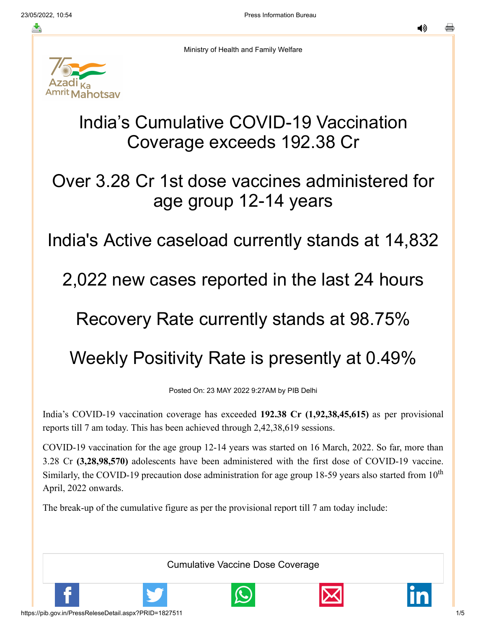≛

◀»



Ministry of Health and Family Welfare

## India's Cumulative COVID-19 Vaccination Coverage exceeds 192.38 Cr

## Over 3.28 Cr 1st dose vaccines administered for age group 12-14 years

## India's Active caseload currently stands at 14,832

### 2,022 new cases reported in the last 24 hours

## Recovery Rate currently stands at 98.75%

# Weekly Positivity Rate is presently at 0.49%

Posted On: 23 MAY 2022 9:27AM by PIB Delhi

India's COVID-19 vaccination coverage has exceeded **192.38 Cr (1,92,38,45,615)** as per provisional reports till 7 am today. This has been achieved through 2,42,38,619 sessions.

COVID-19 vaccination for the age group 12-14 years was started on 16 March, 2022. So far, more than 3.28 Cr **(3,28,98,570)** adolescents have been administered with the first dose of COVID-19 vaccine. Similarly, the COVID-19 precaution dose administration for age group 18-59 years also started from  $10^{\text{th}}$ April, 2022 onwards.

The break-up of the cumulative figure as per the provisional report till 7 am today include:

Cumulative Vaccine Dose Coverage





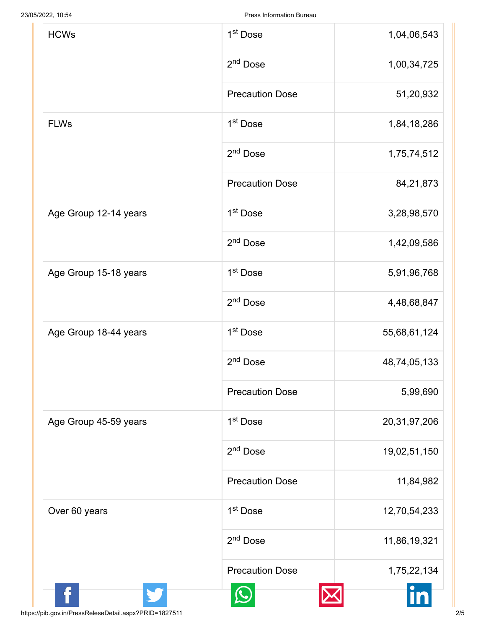| <b>HCWs</b>           | 1 <sup>st</sup> Dose   | 1,04,06,543     |
|-----------------------|------------------------|-----------------|
|                       | 2 <sup>nd</sup> Dose   | 1,00,34,725     |
|                       | <b>Precaution Dose</b> | 51,20,932       |
| <b>FLWs</b>           | 1 <sup>st</sup> Dose   | 1,84,18,286     |
|                       | 2 <sup>nd</sup> Dose   | 1,75,74,512     |
|                       | <b>Precaution Dose</b> | 84,21,873       |
| Age Group 12-14 years | 1 <sup>st</sup> Dose   | 3,28,98,570     |
|                       | 2 <sup>nd</sup> Dose   | 1,42,09,586     |
| Age Group 15-18 years | 1 <sup>st</sup> Dose   | 5,91,96,768     |
|                       | 2 <sup>nd</sup> Dose   | 4,48,68,847     |
| Age Group 18-44 years | 1 <sup>st</sup> Dose   | 55,68,61,124    |
|                       | 2 <sup>nd</sup> Dose   | 48,74,05,133    |
|                       | <b>Precaution Dose</b> | 5,99,690        |
| Age Group 45-59 years | 1 <sup>st</sup> Dose   | 20, 31, 97, 206 |
|                       | 2 <sup>nd</sup> Dose   | 19,02,51,150    |
|                       | <b>Precaution Dose</b> | 11,84,982       |
| Over 60 years         | 1 <sup>st</sup> Dose   | 12,70,54,233    |
|                       | 2 <sup>nd</sup> Dose   | 11,86,19,321    |
|                       | <b>Precaution Dose</b> | 1,75,22,134     |
|                       |                        |                 |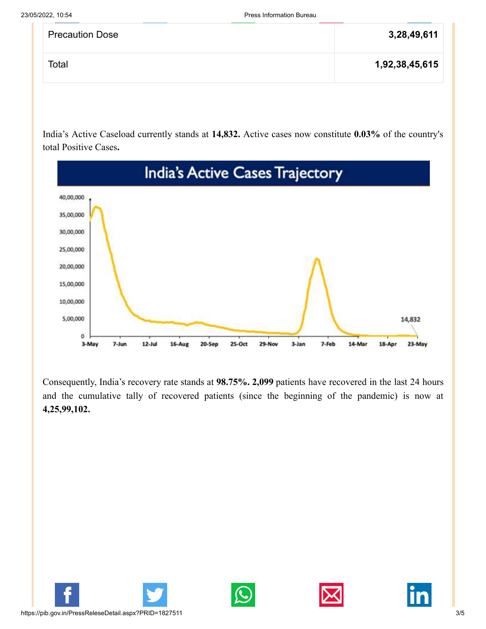| <b>Precaution Dose</b> | 3,28,49,611    |
|------------------------|----------------|
| Total                  | 1,92,38,45,615 |

India's Active Caseload currently stands at **14,832.** Active cases now constitute **0.03%** of the country's total Positive Cases**.**



Consequently, India's recovery rate stands at **98.75%. 2,099** patients have recovered in the last 24 hours and the cumulative tally of recovered patients (since the beginning of the pandemic) is now at **4,25,99,102.**







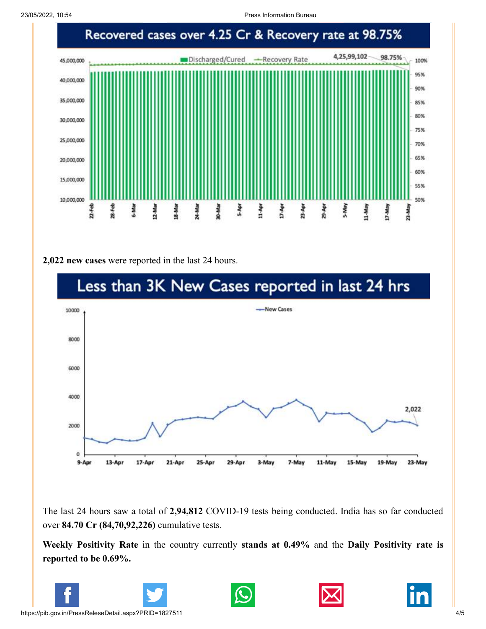23/05/2022, 10:54 Press Information Bureau



#### **2,022 new cases** were reported in the last 24 hours.



The last 24 hours saw a total of **2,94,812** COVID-19 tests being conducted. India has so far conducted over **84.70 Cr (84,70,92,226)** cumulative tests.

**Weekly Positivity Rate** in the country currently **stands at 0.49%** and the **Daily Positivity rate is reported to be 0.69%.**